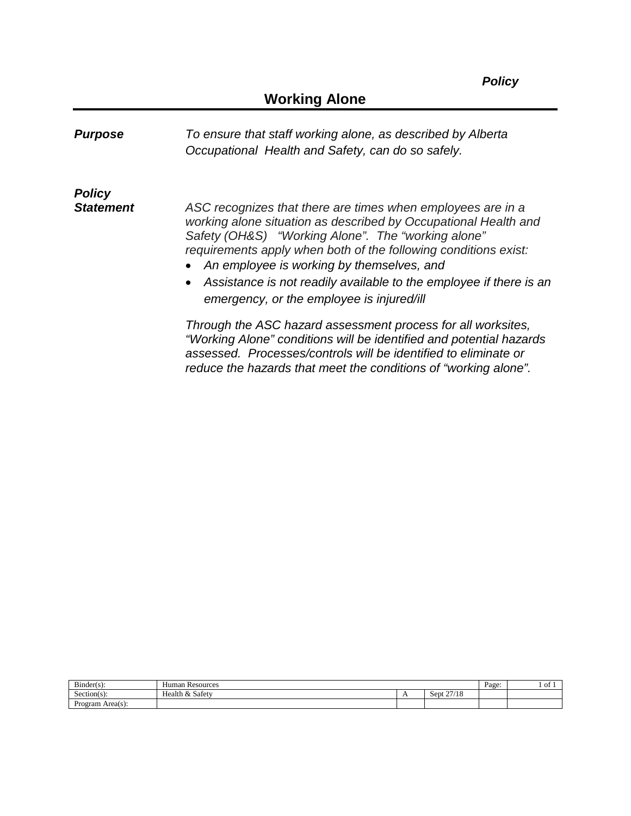| <b>Purpose</b>   | To ensure that staff working alone, as described by Alberta<br>Occupational Health and Safety, can do so safely.                                                                                                                                                                                                                                                                                                        |
|------------------|-------------------------------------------------------------------------------------------------------------------------------------------------------------------------------------------------------------------------------------------------------------------------------------------------------------------------------------------------------------------------------------------------------------------------|
| <b>Policy</b>    |                                                                                                                                                                                                                                                                                                                                                                                                                         |
| <b>Statement</b> | ASC recognizes that there are times when employees are in a<br>working alone situation as described by Occupational Health and<br>Safety (OH&S) "Working Alone". The "working alone"<br>requirements apply when both of the following conditions exist:<br>An employee is working by themselves, and<br>Assistance is not readily available to the employee if there is an<br>emergency, or the employee is injured/ill |
|                  | Through the ASC hazard assessment process for all worksites,<br>"Working Alone" conditions will be identified and potential hazards<br>assessed. Processes/controls will be identified to eliminate or<br>reduce the hazards that meet the conditions of "working alone".                                                                                                                                               |

| $-1$<br>$Bunder(s)$ :       | Human<br>ı Resources |  |                                         | Page: | o |
|-----------------------------|----------------------|--|-----------------------------------------|-------|---|
| Section(s)                  | Health & Safety      |  | 27/10<br>-<br>Sept<br>' 1 O<br>$\sim$ 1 |       |   |
| Area(c)<br>Program Area(s): |                      |  |                                         |       |   |